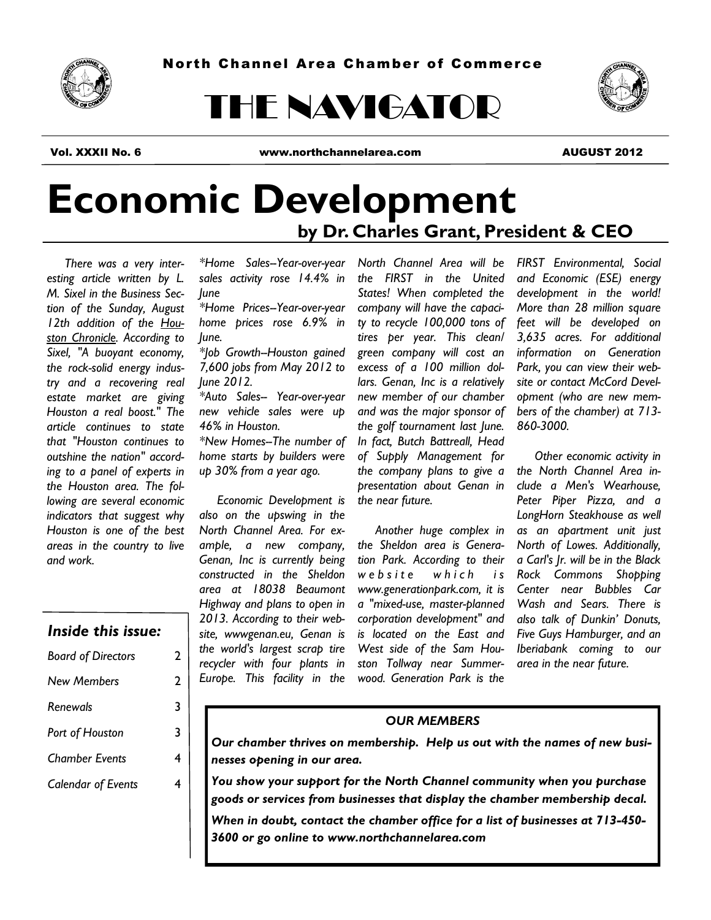

# THE NAVIGATOR



Vol. XXXII No. 6 www.northchannelarea.com AUGUST 2012

## **Economic Development by Dr. Charles Grant, President & CEO**

 *There was a very interesting article written by L. M. Sixel in the Business Section of the Sunday, August 12th addition of the Houston Chronicle. According to Sixel, "A buoyant economy, the rock-solid energy industry and a recovering real estate market are giving Houston a real boost." The article continues to state that "Houston continues to outshine the nation" according to a panel of experts in the Houston area. The following are several economic indicators that suggest why Houston is one of the best areas in the country to live and work.*

#### *Inside this issue:*

| <b>Board of Directors</b> | 2 |
|---------------------------|---|
| <b>New Members</b>        | 2 |
| Renewals                  | 3 |
| Port of Houston           | 3 |
| Chamber Events            | 4 |
| <b>Calendar of Events</b> |   |
|                           |   |

*\*Home Sales--Year-over-year sales activity rose 14.4% in June*

*\*Home Prices--Year-over-year home prices rose 6.9% in June.*

*\*Job Growth--Houston gained 7,600 jobs from May 2012 to June 2012.*

*\*Auto Sales-- Year-over-year new vehicle sales were up 46% in Houston.*

*\*New Homes--The number of home starts by builders were up 30% from a year ago.*

 *Economic Development is also on the upswing in the North Channel Area. For example, a new company, Genan, Inc is currently being constructed in the Sheldon area at 18038 Beaumont Highway and plans to open in 2013. According to their website, wwwgenan.eu, Genan is the world's largest scrap tire recycler with four plants in Europe. This facility in the* 

*North Channel Area will be the FIRST in the United States! When completed the company will have the capacity to recycle 100,000 tons of tires per year. This clean/ green company will cost an excess of a 100 million dollars. Genan, Inc is a relatively new member of our chamber and was the major sponsor of the golf tournament last June. In fact, Butch Battreall, Head of Supply Management for the company plans to give a presentation about Genan in the near future.*

 *Another huge complex in the Sheldon area is Generation Park. According to their w e b s i t e w h i c h i s www.generationpark.com, it is a "mixed-use, master-planned corporation development" and is located on the East and West side of the Sam Houston Tollway near Summerwood. Generation Park is the* 

*FIRST Environmental, Social and Economic (ESE) energy development in the world! More than 28 million square feet will be developed on 3,635 acres. For additional information on Generation Park, you can view their website or contact McCord Development (who are new members of the chamber) at 713- 860-3000.*

 *Other economic activity in the North Channel Area include a Men's Wearhouse, Peter Piper Pizza, and a LongHorn Steakhouse as well as an apartment unit just North of Lowes. Additionally, a Carl's Jr. will be in the Black Rock Commons Shopping Center near Bubbles Car Wash and Sears. There is also talk of Dunkin' Donuts, Five Guys Hamburger, and an Iberiabank coming to our area in the near future.*

#### *OUR MEMBERS*

*Our chamber thrives on membership. Help us out with the names of new businesses opening in our area.*

*You show your support for the North Channel community when you purchase goods or services from businesses that display the chamber membership decal. When in doubt, contact the chamber office for a list of businesses at 713-450- 3600 or go online to www.northchannelarea.com*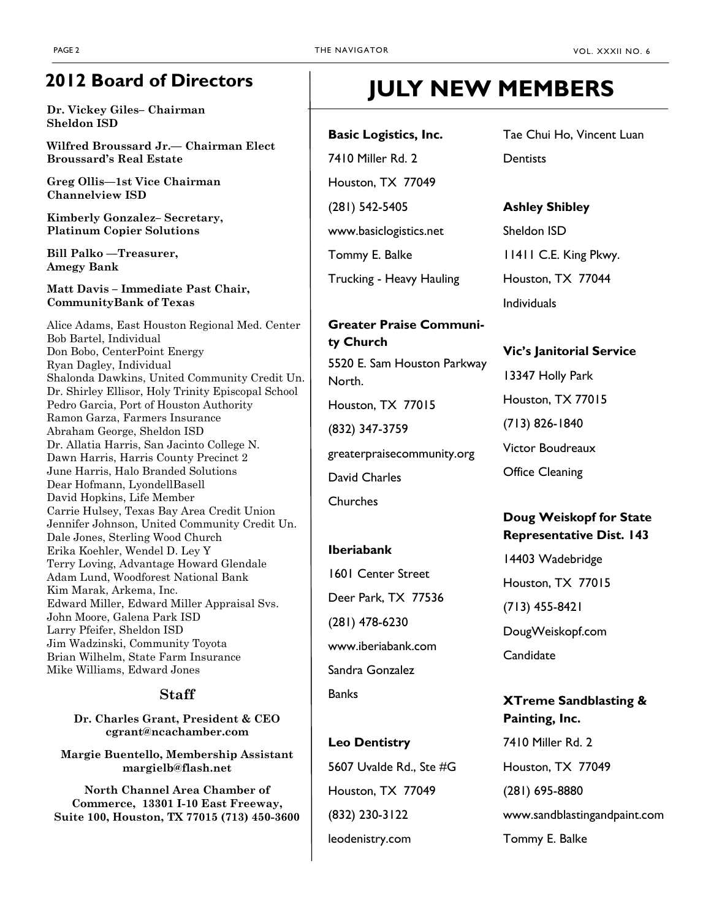### **2012 Board of Directors**

**Dr. Vickey Giles– Chairman Sheldon ISD**

**Wilfred Broussard Jr.— Chairman Elect Broussard's Real Estate**

**Greg Ollis—1st Vice Chairman Channelview ISD**

**Kimberly Gonzalez– Secretary, Platinum Copier Solutions**

**Bill Palko —Treasurer, Amegy Bank**

**Matt Davis – Immediate Past Chair, CommunityBank of Texas**

Alice Adams, East Houston Regional Med. Center Bob Bartel, Individual Don Bobo, CenterPoint Energy Ryan Dagley, Individual Shalonda Dawkins, United Community Credit Un. Dr. Shirley Ellisor, Holy Trinity Episcopal School Pedro Garcia, Port of Houston Authority Ramon Garza, Farmers Insurance Abraham George, Sheldon ISD Dr. Allatia Harris, San Jacinto College N. Dawn Harris, Harris County Precinct 2 June Harris, Halo Branded Solutions Dear Hofmann, LyondellBasell David Hopkins, Life Member Carrie Hulsey, Texas Bay Area Credit Union Jennifer Johnson, United Community Credit Un. Dale Jones, Sterling Wood Church Erika Koehler, Wendel D. Ley Y Terry Loving, Advantage Howard Glendale Adam Lund, Woodforest National Bank Kim Marak, Arkema, Inc. Edward Miller, Edward Miller Appraisal Svs. John Moore, Galena Park ISD Larry Pfeifer, Sheldon ISD Jim Wadzinski, Community Toyota Brian Wilhelm, State Farm Insurance Mike Williams, Edward Jones

#### **Staff**

**Dr. Charles Grant, President & CEO cgrant@ncachamber.com**

**Margie Buentello, Membership Assistant margielb@flash.net**

**North Channel Area Chamber of Commerce, 13301 I-10 East Freeway, Suite 100, Houston, TX 77015 (713) 450-3600**

### **JULY NEW MEMBERS**

**Basic Logistics, Inc.** 7410 Miller Rd. 2 Houston, TX 77049 (281) 542-5405 www.basiclogistics.net Tommy E. Balke

Trucking - Heavy Hauling

#### **Greater Praise Community Church**

5520 E. Sam Houston Parkway North.

Houston, TX 77015

(832) 347-3759

greaterpraisecommunity.org

David Charles

**Churches** 

#### **Iberiabank**

1601 Center Street Deer Park, TX 77536 (281) 478-6230 www.iberiabank.com Sandra Gonzalez **Banks** 

**Leo Dentistry** 5607 Uvalde Rd., Ste #G Houston, TX 77049 (832) 230-3122 leodenistry.com

Tae Chui Ho, Vincent Luan **Dentists** 

#### **Ashley Shibley**

Sheldon ISD 11411 C.E. King Pkwy. Houston, TX 77044 Individuals

#### **Vic's Janitorial Service**

13347 Holly Park Houston, TX 77015 (713) 826-1840 Victor Boudreaux Office Cleaning

#### **Doug Weiskopf for State Representative Dist. 143**

14403 Wadebridge Houston, TX 77015 (713) 455-8421 DougWeiskopf.com Candidate

#### **XTreme Sandblasting & Painting, Inc.**

7410 Miller Rd. 2 Houston, TX 77049 (281) 695-8880 www.sandblastingandpaint.com Tommy E. Balke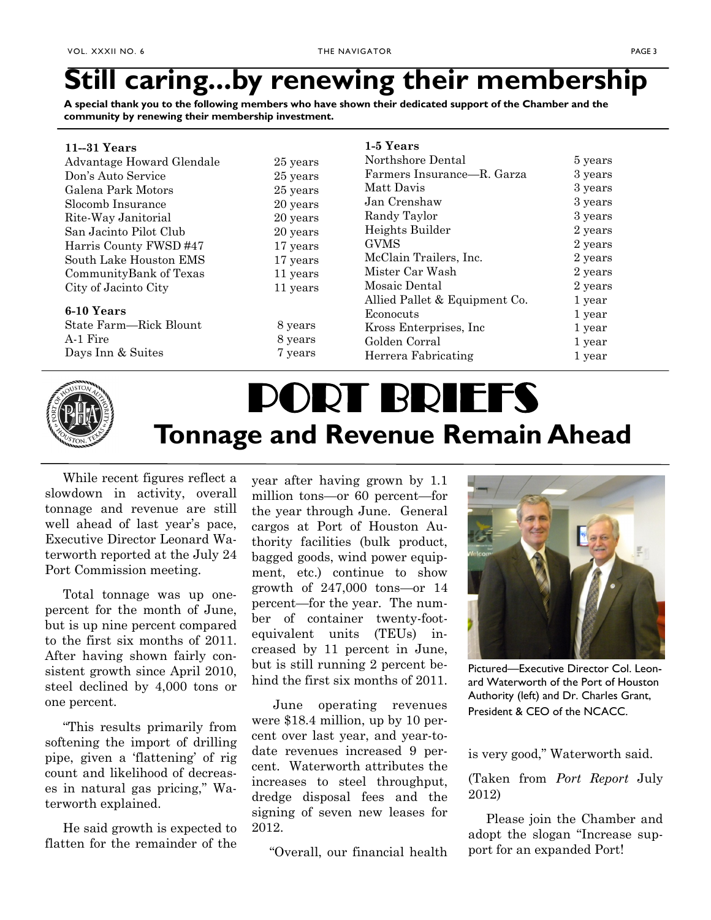### **Still caring...by renewing their membership**

**A special thank you to the following members who have shown their dedicated support of the Chamber and the community by renewing their membership investment.**

| $11 - 31$ Years           |          | 1-5 Years                     |         |
|---------------------------|----------|-------------------------------|---------|
| Advantage Howard Glendale | 25 years | Northshore Dental             | 5 years |
| Don's Auto Service        | 25 years | Farmers Insurance-R. Garza    | 3 years |
| Galena Park Motors        | 25 years | Matt Davis                    | 3 years |
| Slocomb Insurance         | 20 years | Jan Crenshaw                  | 3 years |
| Rite-Way Janitorial       | 20 years | Randy Taylor                  | 3 years |
| San Jacinto Pilot Club    | 20 years | Heights Builder               | 2 years |
| Harris County FWSD #47    | 17 years | <b>GVMS</b>                   | 2 years |
| South Lake Houston EMS    | 17 years | McClain Trailers, Inc.        | 2 years |
| CommunityBank of Texas    | 11 years | Mister Car Wash               | 2 years |
| City of Jacinto City      | 11 years | Mosaic Dental                 | 2 years |
|                           |          | Allied Pallet & Equipment Co. | 1 year  |
| 6-10 Years                |          | Econocuts                     | 1 year  |
| State Farm—Rick Blount    | 8 years  | Kross Enterprises, Inc.       | 1 year  |
| A-1 Fire                  | 8 years  | Golden Corral                 | 1 year  |
| Days Inn & Suites         | 7 years  | Herrera Fabricating           | 1 year  |



## PORT BRIEFS **Tonnage and Revenue Remain Ahead**

 While recent figures reflect a slowdown in activity, overall tonnage and revenue are still well ahead of last year's pace, Executive Director Leonard Waterworth reported at the July 24 Port Commission meeting.

 Total tonnage was up onepercent for the month of June, but is up nine percent compared to the first six months of 2011. After having shown fairly consistent growth since April 2010, steel declined by 4,000 tons or one percent.

 "This results primarily from softening the import of drilling pipe, given a 'flattening' of rig count and likelihood of decreases in natural gas pricing," Waterworth explained.

 He said growth is expected to flatten for the remainder of the year after having grown by 1.1 million tons—or 60 percent—for the year through June. General cargos at Port of Houston Authority facilities (bulk product, bagged goods, wind power equipment, etc.) continue to show growth of 247,000 tons—or 14 percent—for the year. The number of container twenty-footequivalent units (TEUs) increased by 11 percent in June, but is still running 2 percent behind the first six months of 2011.

 June operating revenues were \$18.4 million, up by 10 percent over last year, and year-todate revenues increased 9 percent. Waterworth attributes the increases to steel throughput, dredge disposal fees and the signing of seven new leases for 2012.

"Overall, our financial health



Pictured—Executive Director Col. Leonard Waterworth of the Port of Houston Authority (left) and Dr. Charles Grant, President & CEO of the NCACC.

is very good," Waterworth said.

#### (Taken from *Port Report* July 2012)

 Please join the Chamber and adopt the slogan "Increase support for an expanded Port!